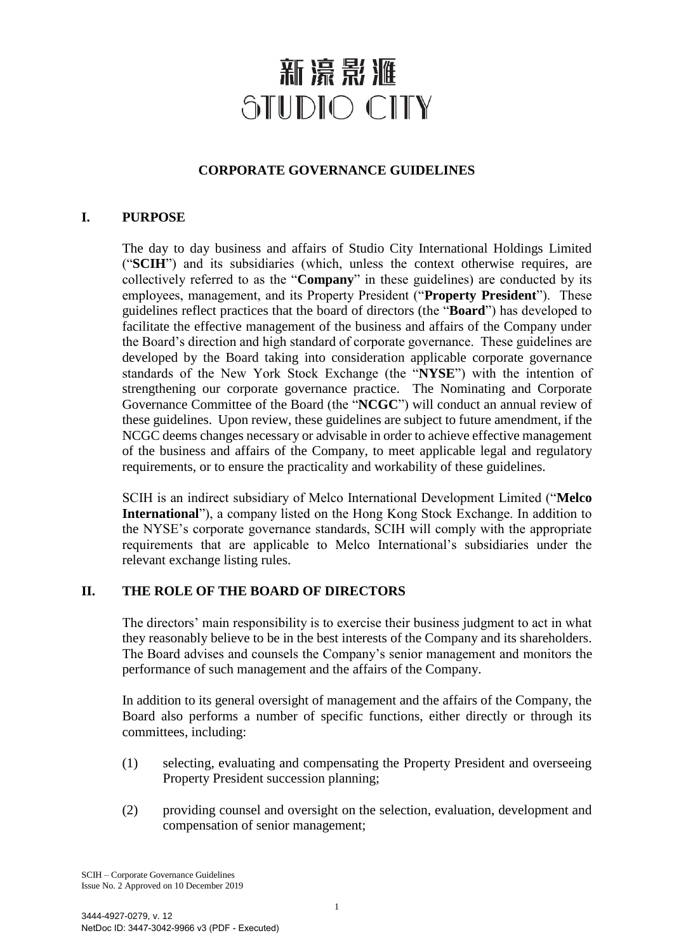# 新濠影滙 STUDIO CITY

# **CORPORATE GOVERNANCE GUIDELINES**

## **I. PURPOSE**

The day to day business and affairs of Studio City International Holdings Limited ("**SCIH**") and its subsidiaries (which, unless the context otherwise requires, are collectively referred to as the "**Company**" in these guidelines) are conducted by its employees, management, and its Property President ("**Property President**"). These guidelines reflect practices that the board of directors (the "**Board**") has developed to facilitate the effective management of the business and affairs of the Company under the Board's direction and high standard of corporate governance. These guidelines are developed by the Board taking into consideration applicable corporate governance standards of the New York Stock Exchange (the "**NYSE**") with the intention of strengthening our corporate governance practice. The Nominating and Corporate Governance Committee of the Board (the "**NCGC**") will conduct an annual review of these guidelines. Upon review, these guidelines are subject to future amendment, if the NCGC deems changes necessary or advisable in order to achieve effective management of the business and affairs of the Company, to meet applicable legal and regulatory requirements, or to ensure the practicality and workability of these guidelines.

SCIH is an indirect subsidiary of Melco International Development Limited ("**Melco International**"), a company listed on the Hong Kong Stock Exchange. In addition to the NYSE's corporate governance standards, SCIH will comply with the appropriate requirements that are applicable to Melco International's subsidiaries under the relevant exchange listing rules.

# **II. THE ROLE OF THE BOARD OF DIRECTORS**

The directors' main responsibility is to exercise their business judgment to act in what they reasonably believe to be in the best interests of the Company and its shareholders. The Board advises and counsels the Company's senior management and monitors the performance of such management and the affairs of the Company.

In addition to its general oversight of management and the affairs of the Company, the Board also performs a number of specific functions, either directly or through its committees, including:

- (1) selecting, evaluating and compensating the Property President and overseeing Property President succession planning;
- (2) providing counsel and oversight on the selection, evaluation, development and compensation of senior management;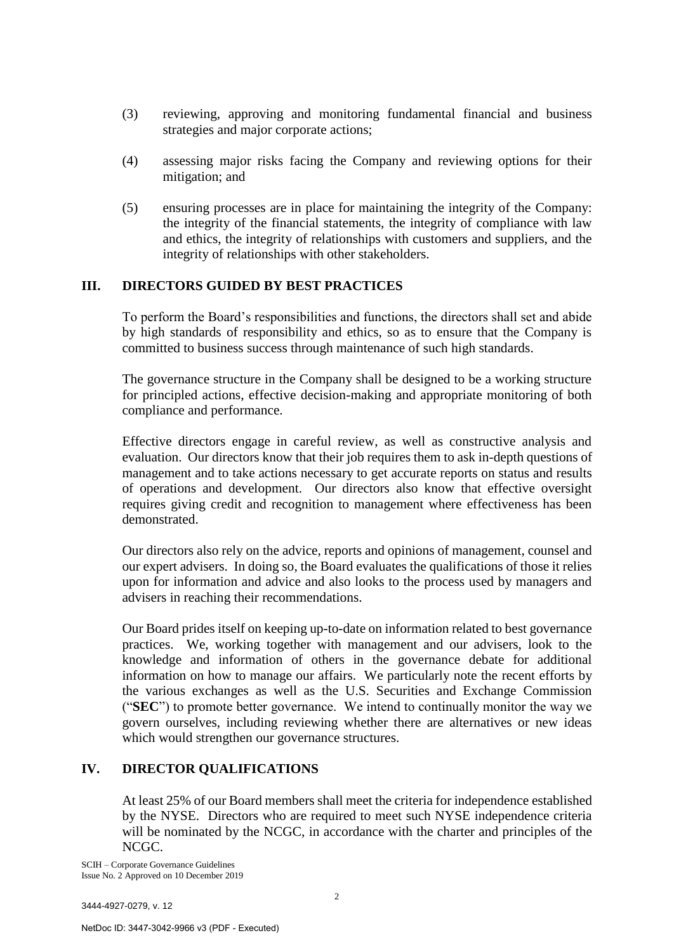- (3) reviewing, approving and monitoring fundamental financial and business strategies and major corporate actions;
- (4) assessing major risks facing the Company and reviewing options for their mitigation; and
- (5) ensuring processes are in place for maintaining the integrity of the Company: the integrity of the financial statements, the integrity of compliance with law and ethics, the integrity of relationships with customers and suppliers, and the integrity of relationships with other stakeholders.

# **III. DIRECTORS GUIDED BY BEST PRACTICES**

To perform the Board's responsibilities and functions, the directors shall set and abide by high standards of responsibility and ethics, so as to ensure that the Company is committed to business success through maintenance of such high standards.

The governance structure in the Company shall be designed to be a working structure for principled actions, effective decision-making and appropriate monitoring of both compliance and performance.

Effective directors engage in careful review, as well as constructive analysis and evaluation. Our directors know that their job requires them to ask in-depth questions of management and to take actions necessary to get accurate reports on status and results of operations and development. Our directors also know that effective oversight requires giving credit and recognition to management where effectiveness has been demonstrated.

Our directors also rely on the advice, reports and opinions of management, counsel and our expert advisers. In doing so, the Board evaluates the qualifications of those it relies upon for information and advice and also looks to the process used by managers and advisers in reaching their recommendations.

Our Board prides itself on keeping up-to-date on information related to best governance practices. We, working together with management and our advisers, look to the knowledge and information of others in the governance debate for additional information on how to manage our affairs. We particularly note the recent efforts by the various exchanges as well as the U.S. Securities and Exchange Commission ("**SEC**") to promote better governance. We intend to continually monitor the way we govern ourselves, including reviewing whether there are alternatives or new ideas which would strengthen our governance structures.

# **IV. DIRECTOR QUALIFICATIONS**

At least 25% of our Board members shall meet the criteria for independence established by the NYSE. Directors who are required to meet such NYSE independence criteria will be nominated by the NCGC, in accordance with the charter and principles of the NCGC.

SCIH – Corporate Governance Guidelines Issue No. 2 Approved on 10 December 2019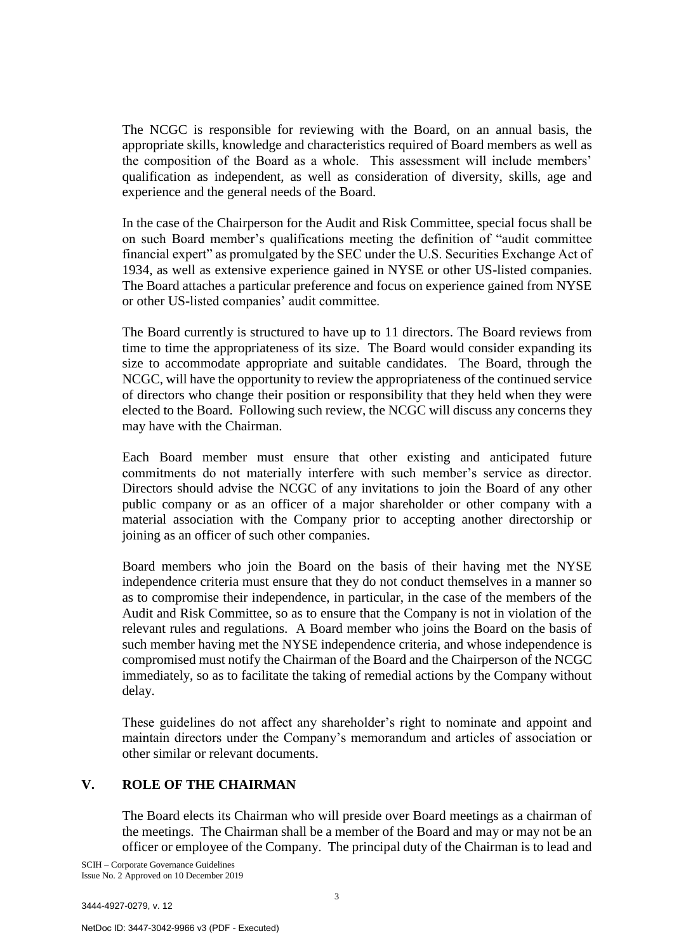The NCGC is responsible for reviewing with the Board, on an annual basis, the appropriate skills, knowledge and characteristics required of Board members as well as the composition of the Board as a whole. This assessment will include members' qualification as independent, as well as consideration of diversity, skills, age and experience and the general needs of the Board.

In the case of the Chairperson for the Audit and Risk Committee, special focus shall be on such Board member's qualifications meeting the definition of "audit committee financial expert" as promulgated by the SEC under the U.S. Securities Exchange Act of 1934, as well as extensive experience gained in NYSE or other US-listed companies. The Board attaches a particular preference and focus on experience gained from NYSE or other US-listed companies' audit committee.

The Board currently is structured to have up to 11 directors. The Board reviews from time to time the appropriateness of its size. The Board would consider expanding its size to accommodate appropriate and suitable candidates. The Board, through the NCGC, will have the opportunity to review the appropriateness of the continued service of directors who change their position or responsibility that they held when they were elected to the Board. Following such review, the NCGC will discuss any concerns they may have with the Chairman.

Each Board member must ensure that other existing and anticipated future commitments do not materially interfere with such member's service as director. Directors should advise the NCGC of any invitations to join the Board of any other public company or as an officer of a major shareholder or other company with a material association with the Company prior to accepting another directorship or joining as an officer of such other companies.

Board members who join the Board on the basis of their having met the NYSE independence criteria must ensure that they do not conduct themselves in a manner so as to compromise their independence, in particular, in the case of the members of the Audit and Risk Committee, so as to ensure that the Company is not in violation of the relevant rules and regulations. A Board member who joins the Board on the basis of such member having met the NYSE independence criteria, and whose independence is compromised must notify the Chairman of the Board and the Chairperson of the NCGC immediately, so as to facilitate the taking of remedial actions by the Company without delay.

These guidelines do not affect any shareholder's right to nominate and appoint and maintain directors under the Company's memorandum and articles of association or other similar or relevant documents.

# **V. ROLE OF THE CHAIRMAN**

The Board elects its Chairman who will preside over Board meetings as a chairman of the meetings. The Chairman shall be a member of the Board and may or may not be an officer or employee of the Company. The principal duty of the Chairman is to lead and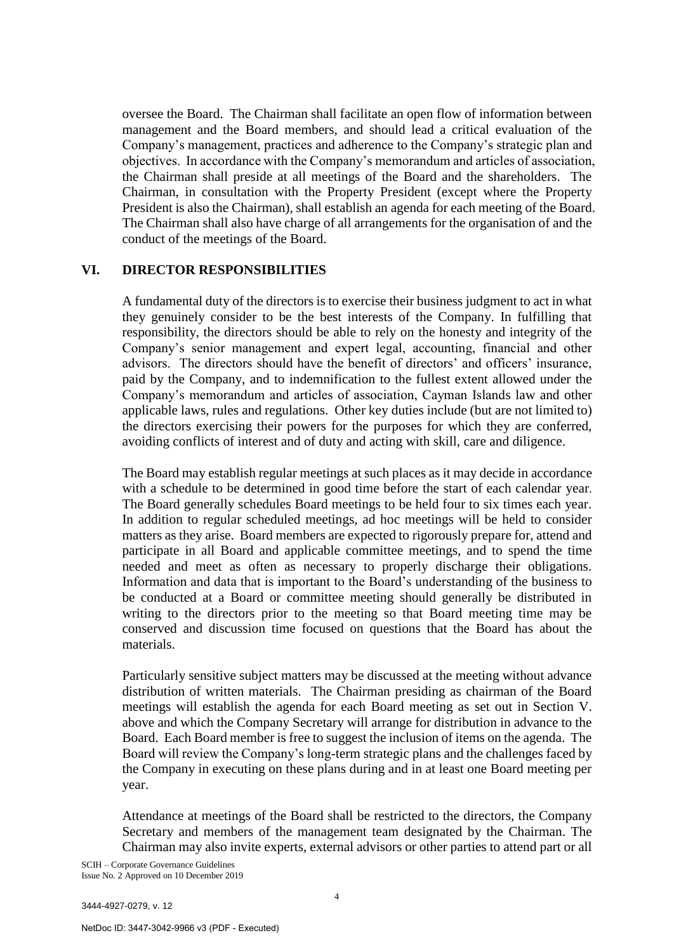oversee the Board. The Chairman shall facilitate an open flow of information between management and the Board members, and should lead a critical evaluation of the Company's management, practices and adherence to the Company's strategic plan and objectives. In accordance with the Company's memorandum and articles of association, the Chairman shall preside at all meetings of the Board and the shareholders. The Chairman, in consultation with the Property President (except where the Property President is also the Chairman), shall establish an agenda for each meeting of the Board. The Chairman shall also have charge of all arrangements for the organisation of and the conduct of the meetings of the Board.

## **VI. DIRECTOR RESPONSIBILITIES**

A fundamental duty of the directors is to exercise their business judgment to act in what they genuinely consider to be the best interests of the Company. In fulfilling that responsibility, the directors should be able to rely on the honesty and integrity of the Company's senior management and expert legal, accounting, financial and other advisors. The directors should have the benefit of directors' and officers' insurance, paid by the Company, and to indemnification to the fullest extent allowed under the Company's memorandum and articles of association, Cayman Islands law and other applicable laws, rules and regulations. Other key duties include (but are not limited to) the directors exercising their powers for the purposes for which they are conferred, avoiding conflicts of interest and of duty and acting with skill, care and diligence.

The Board may establish regular meetings at such places as it may decide in accordance with a schedule to be determined in good time before the start of each calendar year. The Board generally schedules Board meetings to be held four to six times each year. In addition to regular scheduled meetings, ad hoc meetings will be held to consider matters as they arise. Board members are expected to rigorously prepare for, attend and participate in all Board and applicable committee meetings, and to spend the time needed and meet as often as necessary to properly discharge their obligations. Information and data that is important to the Board's understanding of the business to be conducted at a Board or committee meeting should generally be distributed in writing to the directors prior to the meeting so that Board meeting time may be conserved and discussion time focused on questions that the Board has about the materials.

Particularly sensitive subject matters may be discussed at the meeting without advance distribution of written materials. The Chairman presiding as chairman of the Board meetings will establish the agenda for each Board meeting as set out in Section V. above and which the Company Secretary will arrange for distribution in advance to the Board. Each Board member is free to suggest the inclusion of items on the agenda. The Board will review the Company's long-term strategic plans and the challenges faced by the Company in executing on these plans during and in at least one Board meeting per year.

Attendance at meetings of the Board shall be restricted to the directors, the Company Secretary and members of the management team designated by the Chairman. The Chairman may also invite experts, external advisors or other parties to attend part or all

SCIH – Corporate Governance Guidelines Issue No. 2 Approved on 10 December 2019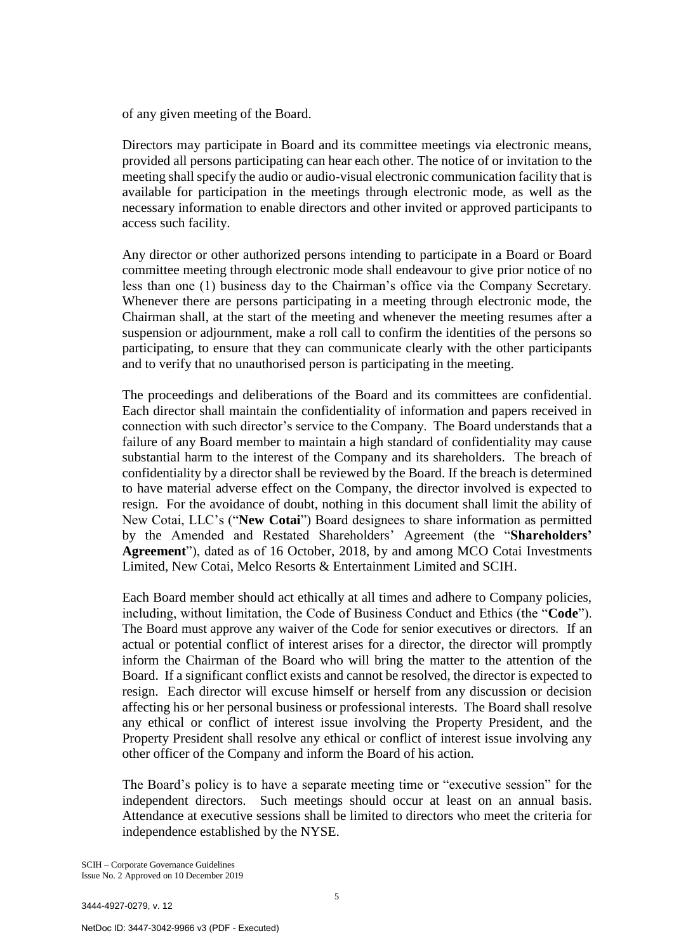of any given meeting of the Board.

Directors may participate in Board and its committee meetings via electronic means, provided all persons participating can hear each other. The notice of or invitation to the meeting shall specify the audio or audio-visual electronic communication facility that is available for participation in the meetings through electronic mode, as well as the necessary information to enable directors and other invited or approved participants to access such facility.

Any director or other authorized persons intending to participate in a Board or Board committee meeting through electronic mode shall endeavour to give prior notice of no less than one (1) business day to the Chairman's office via the Company Secretary. Whenever there are persons participating in a meeting through electronic mode, the Chairman shall, at the start of the meeting and whenever the meeting resumes after a suspension or adjournment, make a roll call to confirm the identities of the persons so participating, to ensure that they can communicate clearly with the other participants and to verify that no unauthorised person is participating in the meeting.

The proceedings and deliberations of the Board and its committees are confidential. Each director shall maintain the confidentiality of information and papers received in connection with such director's service to the Company. The Board understands that a failure of any Board member to maintain a high standard of confidentiality may cause substantial harm to the interest of the Company and its shareholders. The breach of confidentiality by a director shall be reviewed by the Board. If the breach is determined to have material adverse effect on the Company, the director involved is expected to resign. For the avoidance of doubt, nothing in this document shall limit the ability of New Cotai, LLC's ("**New Cotai**") Board designees to share information as permitted by the Amended and Restated Shareholders' Agreement (the "**Shareholders' Agreement**"), dated as of 16 October, 2018, by and among MCO Cotai Investments Limited, New Cotai, Melco Resorts & Entertainment Limited and SCIH.

Each Board member should act ethically at all times and adhere to Company policies, including, without limitation, the Code of Business Conduct and Ethics (the "**Code**"). The Board must approve any waiver of the Code for senior executives or directors. If an actual or potential conflict of interest arises for a director, the director will promptly inform the Chairman of the Board who will bring the matter to the attention of the Board. If a significant conflict exists and cannot be resolved, the director is expected to resign. Each director will excuse himself or herself from any discussion or decision affecting his or her personal business or professional interests. The Board shall resolve any ethical or conflict of interest issue involving the Property President, and the Property President shall resolve any ethical or conflict of interest issue involving any other officer of the Company and inform the Board of his action.

The Board's policy is to have a separate meeting time or "executive session" for the independent directors. Such meetings should occur at least on an annual basis. Attendance at executive sessions shall be limited to directors who meet the criteria for independence established by the NYSE.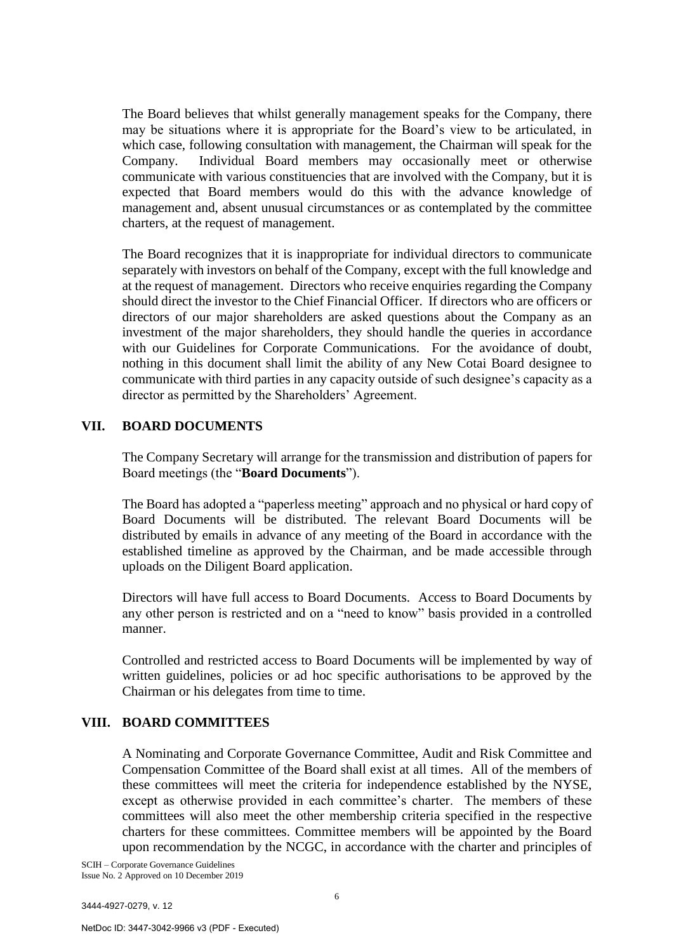The Board believes that whilst generally management speaks for the Company, there may be situations where it is appropriate for the Board's view to be articulated, in which case, following consultation with management, the Chairman will speak for the Company. Individual Board members may occasionally meet or otherwise communicate with various constituencies that are involved with the Company, but it is expected that Board members would do this with the advance knowledge of management and, absent unusual circumstances or as contemplated by the committee charters, at the request of management.

The Board recognizes that it is inappropriate for individual directors to communicate separately with investors on behalf of the Company, except with the full knowledge and at the request of management. Directors who receive enquiries regarding the Company should direct the investor to the Chief Financial Officer. If directors who are officers or directors of our major shareholders are asked questions about the Company as an investment of the major shareholders, they should handle the queries in accordance with our Guidelines for Corporate Communications. For the avoidance of doubt, nothing in this document shall limit the ability of any New Cotai Board designee to communicate with third parties in any capacity outside of such designee's capacity as a director as permitted by the Shareholders' Agreement.

## **VII. BOARD DOCUMENTS**

The Company Secretary will arrange for the transmission and distribution of papers for Board meetings (the "**Board Documents**").

The Board has adopted a "paperless meeting" approach and no physical or hard copy of Board Documents will be distributed. The relevant Board Documents will be distributed by emails in advance of any meeting of the Board in accordance with the established timeline as approved by the Chairman, and be made accessible through uploads on the Diligent Board application.

Directors will have full access to Board Documents. Access to Board Documents by any other person is restricted and on a "need to know" basis provided in a controlled manner.

Controlled and restricted access to Board Documents will be implemented by way of written guidelines, policies or ad hoc specific authorisations to be approved by the Chairman or his delegates from time to time.

## **VIII. BOARD COMMITTEES**

A Nominating and Corporate Governance Committee, Audit and Risk Committee and Compensation Committee of the Board shall exist at all times. All of the members of these committees will meet the criteria for independence established by the NYSE, except as otherwise provided in each committee's charter. The members of these committees will also meet the other membership criteria specified in the respective charters for these committees. Committee members will be appointed by the Board upon recommendation by the NCGC, in accordance with the charter and principles of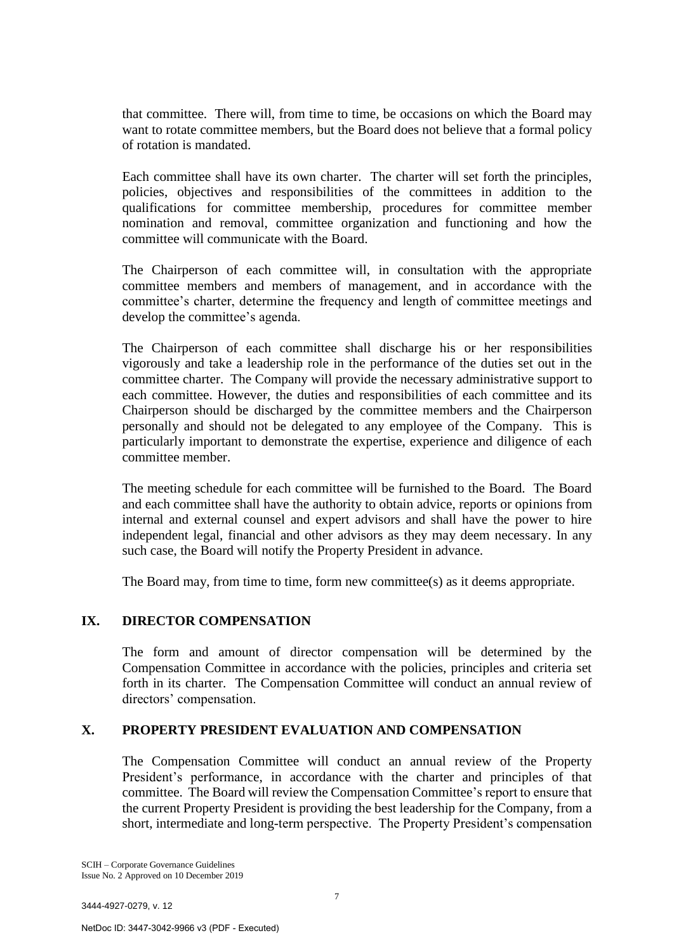that committee. There will, from time to time, be occasions on which the Board may want to rotate committee members, but the Board does not believe that a formal policy of rotation is mandated.

Each committee shall have its own charter. The charter will set forth the principles, policies, objectives and responsibilities of the committees in addition to the qualifications for committee membership, procedures for committee member nomination and removal, committee organization and functioning and how the committee will communicate with the Board.

The Chairperson of each committee will, in consultation with the appropriate committee members and members of management, and in accordance with the committee's charter, determine the frequency and length of committee meetings and develop the committee's agenda.

The Chairperson of each committee shall discharge his or her responsibilities vigorously and take a leadership role in the performance of the duties set out in the committee charter. The Company will provide the necessary administrative support to each committee. However, the duties and responsibilities of each committee and its Chairperson should be discharged by the committee members and the Chairperson personally and should not be delegated to any employee of the Company. This is particularly important to demonstrate the expertise, experience and diligence of each committee member.

The meeting schedule for each committee will be furnished to the Board. The Board and each committee shall have the authority to obtain advice, reports or opinions from internal and external counsel and expert advisors and shall have the power to hire independent legal, financial and other advisors as they may deem necessary. In any such case, the Board will notify the Property President in advance.

The Board may, from time to time, form new committee(s) as it deems appropriate.

# **IX. DIRECTOR COMPENSATION**

The form and amount of director compensation will be determined by the Compensation Committee in accordance with the policies, principles and criteria set forth in its charter. The Compensation Committee will conduct an annual review of directors' compensation.

## **X. PROPERTY PRESIDENT EVALUATION AND COMPENSATION**

The Compensation Committee will conduct an annual review of the Property President's performance, in accordance with the charter and principles of that committee. The Board will review the Compensation Committee's report to ensure that the current Property President is providing the best leadership for the Company, from a short, intermediate and long-term perspective. The Property President's compensation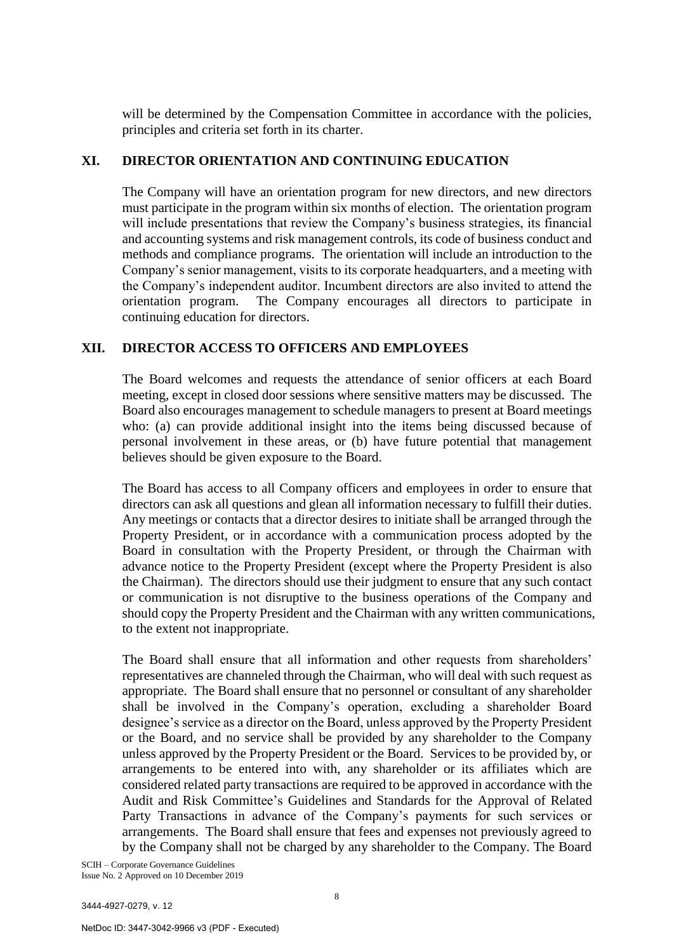will be determined by the Compensation Committee in accordance with the policies, principles and criteria set forth in its charter.

# **XI. DIRECTOR ORIENTATION AND CONTINUING EDUCATION**

The Company will have an orientation program for new directors, and new directors must participate in the program within six months of election. The orientation program will include presentations that review the Company's business strategies, its financial and accounting systems and risk management controls, its code of business conduct and methods and compliance programs. The orientation will include an introduction to the Company's senior management, visits to its corporate headquarters, and a meeting with the Company's independent auditor. Incumbent directors are also invited to attend the orientation program. The Company encourages all directors to participate in continuing education for directors.

# **XII. DIRECTOR ACCESS TO OFFICERS AND EMPLOYEES**

The Board welcomes and requests the attendance of senior officers at each Board meeting, except in closed door sessions where sensitive matters may be discussed. The Board also encourages management to schedule managers to present at Board meetings who: (a) can provide additional insight into the items being discussed because of personal involvement in these areas, or (b) have future potential that management believes should be given exposure to the Board.

The Board has access to all Company officers and employees in order to ensure that directors can ask all questions and glean all information necessary to fulfill their duties. Any meetings or contacts that a director desires to initiate shall be arranged through the Property President, or in accordance with a communication process adopted by the Board in consultation with the Property President, or through the Chairman with advance notice to the Property President (except where the Property President is also the Chairman). The directors should use their judgment to ensure that any such contact or communication is not disruptive to the business operations of the Company and should copy the Property President and the Chairman with any written communications, to the extent not inappropriate.

The Board shall ensure that all information and other requests from shareholders' representatives are channeled through the Chairman, who will deal with such request as appropriate. The Board shall ensure that no personnel or consultant of any shareholder shall be involved in the Company's operation, excluding a shareholder Board designee's service as a director on the Board, unless approved by the Property President or the Board, and no service shall be provided by any shareholder to the Company unless approved by the Property President or the Board. Services to be provided by, or arrangements to be entered into with, any shareholder or its affiliates which are considered related party transactions are required to be approved in accordance with the Audit and Risk Committee's Guidelines and Standards for the Approval of Related Party Transactions in advance of the Company's payments for such services or arrangements. The Board shall ensure that fees and expenses not previously agreed to by the Company shall not be charged by any shareholder to the Company. The Board

SCIH – Corporate Governance Guidelines Issue No. 2 Approved on 10 December 2019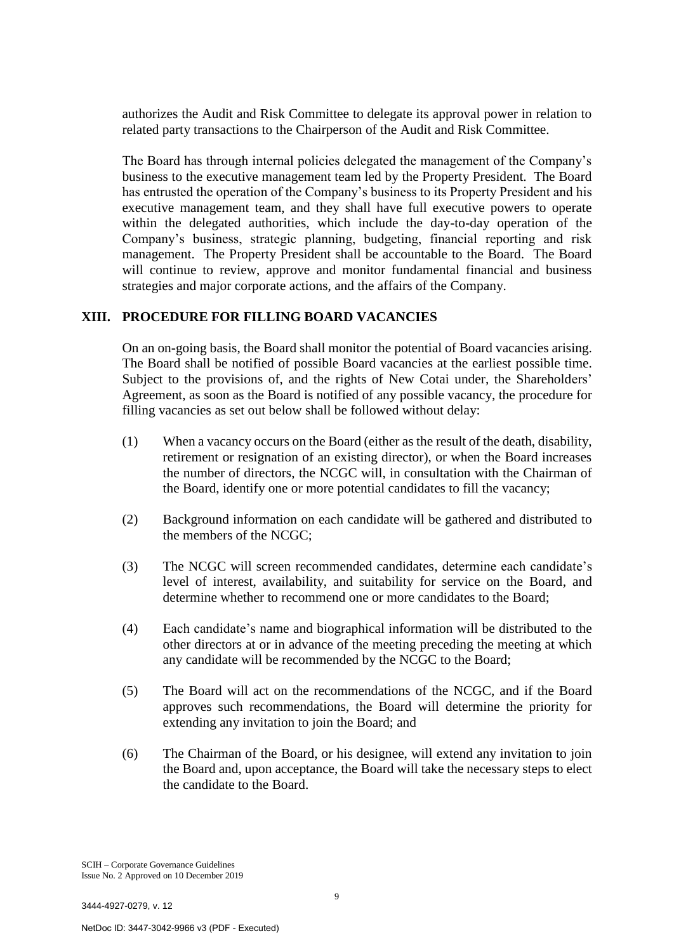authorizes the Audit and Risk Committee to delegate its approval power in relation to related party transactions to the Chairperson of the Audit and Risk Committee.

The Board has through internal policies delegated the management of the Company's business to the executive management team led by the Property President. The Board has entrusted the operation of the Company's business to its Property President and his executive management team, and they shall have full executive powers to operate within the delegated authorities, which include the day-to-day operation of the Company's business, strategic planning, budgeting, financial reporting and risk management. The Property President shall be accountable to the Board. The Board will continue to review, approve and monitor fundamental financial and business strategies and major corporate actions, and the affairs of the Company.

## **XIII. PROCEDURE FOR FILLING BOARD VACANCIES**

On an on-going basis, the Board shall monitor the potential of Board vacancies arising. The Board shall be notified of possible Board vacancies at the earliest possible time. Subject to the provisions of, and the rights of New Cotai under, the Shareholders' Agreement, as soon as the Board is notified of any possible vacancy, the procedure for filling vacancies as set out below shall be followed without delay:

- (1) When a vacancy occurs on the Board (either as the result of the death, disability, retirement or resignation of an existing director), or when the Board increases the number of directors, the NCGC will, in consultation with the Chairman of the Board, identify one or more potential candidates to fill the vacancy;
- (2) Background information on each candidate will be gathered and distributed to the members of the NCGC;
- (3) The NCGC will screen recommended candidates, determine each candidate's level of interest, availability, and suitability for service on the Board, and determine whether to recommend one or more candidates to the Board;
- (4) Each candidate's name and biographical information will be distributed to the other directors at or in advance of the meeting preceding the meeting at which any candidate will be recommended by the NCGC to the Board;
- (5) The Board will act on the recommendations of the NCGC, and if the Board approves such recommendations, the Board will determine the priority for extending any invitation to join the Board; and
- (6) The Chairman of the Board, or his designee, will extend any invitation to join the Board and, upon acceptance, the Board will take the necessary steps to elect the candidate to the Board.